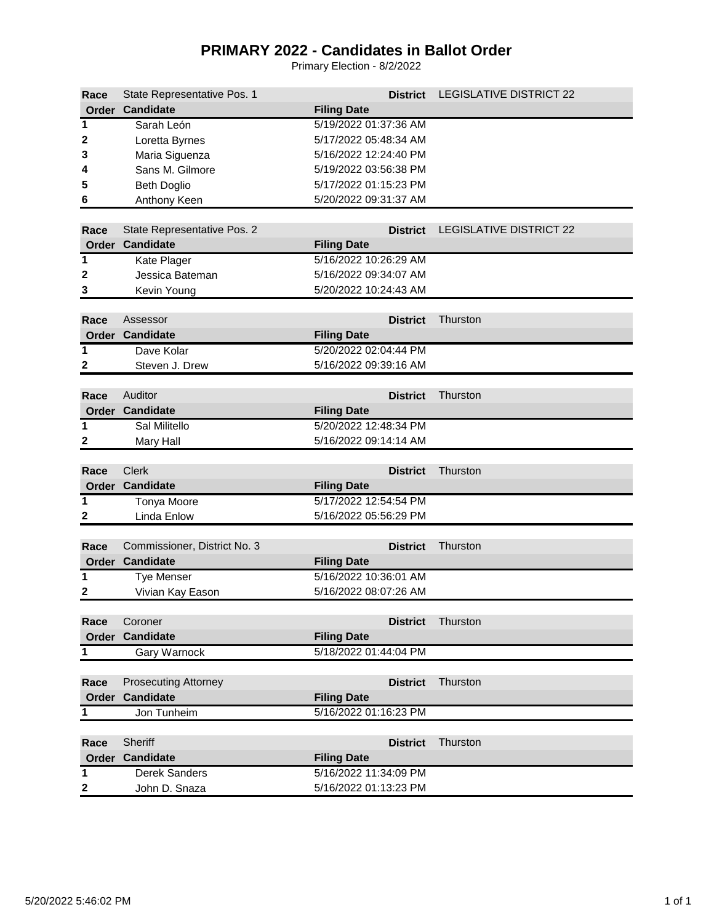## **PRIMARY 2022 - Candidates in Ballot Order**

Primary Election - 8/2/2022

| Race             | State Representative Pos. 1  | <b>District</b>       | <b>LEGISLATIVE DISTRICT 22</b> |
|------------------|------------------------------|-----------------------|--------------------------------|
|                  | Order Candidate              | <b>Filing Date</b>    |                                |
| 1                | Sarah León                   | 5/19/2022 01:37:36 AM |                                |
| 2                | Loretta Byrnes               | 5/17/2022 05:48:34 AM |                                |
| 3                | Maria Siguenza               | 5/16/2022 12:24:40 PM |                                |
| 4                | Sans M. Gilmore              | 5/19/2022 03:56:38 PM |                                |
| 5                | <b>Beth Doglio</b>           | 5/17/2022 01:15:23 PM |                                |
| 6                | Anthony Keen                 | 5/20/2022 09:31:37 AM |                                |
|                  |                              |                       |                                |
| Race             | State Representative Pos. 2  | <b>District</b>       | <b>LEGISLATIVE DISTRICT 22</b> |
|                  | Order Candidate              | <b>Filing Date</b>    |                                |
| 1                | Kate Plager                  | 5/16/2022 10:26:29 AM |                                |
| 2                | Jessica Bateman              | 5/16/2022 09:34:07 AM |                                |
| 3                | Kevin Young                  | 5/20/2022 10:24:43 AM |                                |
|                  |                              |                       |                                |
| Race             | Assessor                     | <b>District</b>       | Thurston                       |
|                  | Order Candidate              | <b>Filing Date</b>    |                                |
| $\overline{1}$   | Dave Kolar                   | 5/20/2022 02:04:44 PM |                                |
| $\boldsymbol{2}$ | Steven J. Drew               | 5/16/2022 09:39:16 AM |                                |
|                  |                              |                       |                                |
| Race             | Auditor                      | <b>District</b>       | Thurston                       |
|                  | <b>Order Candidate</b>       | <b>Filing Date</b>    |                                |
| 1                | Sal Militello                | 5/20/2022 12:48:34 PM |                                |
| 2                | <b>Mary Hall</b>             | 5/16/2022 09:14:14 AM |                                |
|                  |                              |                       |                                |
| Race             | <b>Clerk</b>                 | <b>District</b>       | Thurston                       |
|                  | Order Candidate              | <b>Filing Date</b>    |                                |
| $\mathbf 1$      | <b>Tonya Moore</b>           | 5/17/2022 12:54:54 PM |                                |
| $\mathbf{2}$     | Linda Enlow                  | 5/16/2022 05:56:29 PM |                                |
|                  |                              |                       |                                |
| Race             | Commissioner, District No. 3 | <b>District</b>       | Thurston                       |
|                  | <b>Order Candidate</b>       | <b>Filing Date</b>    |                                |
| 1                | <b>Tye Menser</b>            | 5/16/2022 10:36:01 AM |                                |
| $\mathbf{2}$     | Vivian Kay Eason             | 5/16/2022 08:07:26 AM |                                |
|                  |                              |                       |                                |
| Race             | Coroner                      | <b>District</b>       | Thurston                       |
|                  | Order Candidate              | <b>Filing Date</b>    |                                |
| 1                | Gary Warnock                 | 5/18/2022 01:44:04 PM |                                |
|                  |                              |                       |                                |
| Race             | <b>Prosecuting Attorney</b>  | <b>District</b>       | Thurston                       |
|                  | <b>Order Candidate</b>       | <b>Filing Date</b>    |                                |
| $\mathbf 1$      | Jon Tunheim                  | 5/16/2022 01:16:23 PM |                                |
|                  |                              |                       |                                |
| Race             | Sheriff                      | <b>District</b>       | Thurston                       |
|                  | Order Candidate              | <b>Filing Date</b>    |                                |
| 1                | Derek Sanders                | 5/16/2022 11:34:09 PM |                                |
| $\boldsymbol{2}$ | John D. Snaza                | 5/16/2022 01:13:23 PM |                                |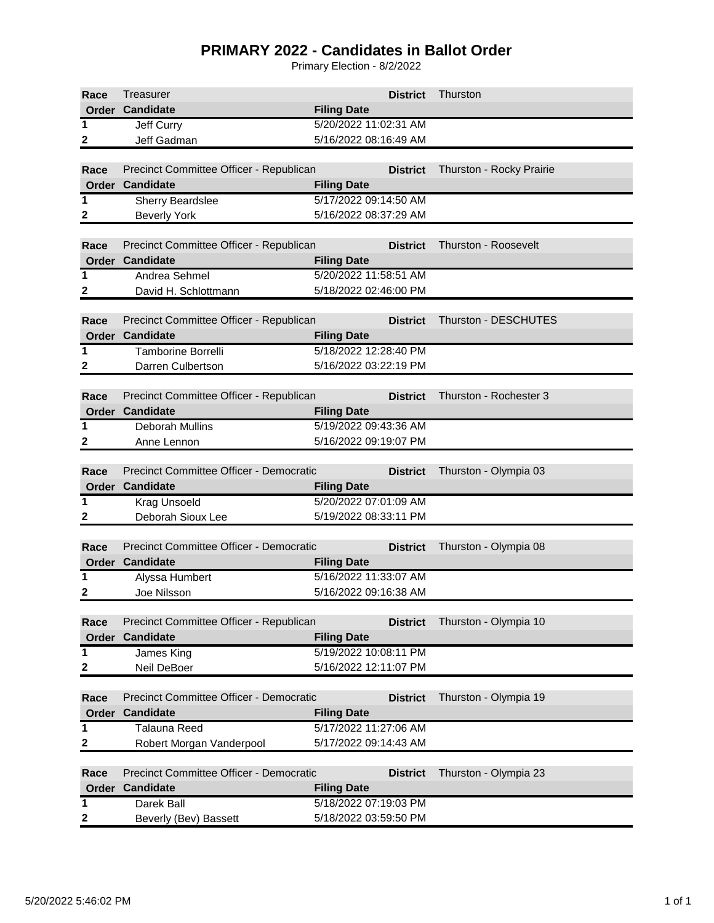## **PRIMARY 2022 - Candidates in Ballot Order**

Primary Election - 8/2/2022

| Race         | Treasurer                                                  | <b>District</b>                             | Thurston                    |  |  |
|--------------|------------------------------------------------------------|---------------------------------------------|-----------------------------|--|--|
|              | <b>Order Candidate</b>                                     | <b>Filing Date</b>                          |                             |  |  |
| $\mathbf{1}$ | Jeff Curry                                                 | 5/20/2022 11:02:31 AM                       |                             |  |  |
| 2            | Jeff Gadman                                                | 5/16/2022 08:16:49 AM                       |                             |  |  |
|              |                                                            |                                             |                             |  |  |
| Race         | Precinct Committee Officer - Republican                    | <b>District</b>                             | Thurston - Rocky Prairie    |  |  |
|              | Order Candidate                                            | <b>Filing Date</b>                          |                             |  |  |
| 1            | Sherry Beardslee                                           | 5/17/2022 09:14:50 AM                       |                             |  |  |
| 2            | <b>Beverly York</b>                                        | 5/16/2022 08:37:29 AM                       |                             |  |  |
|              |                                                            |                                             |                             |  |  |
| Race         | Precinct Committee Officer - Republican                    | <b>District</b>                             | Thurston - Roosevelt        |  |  |
|              | <b>Order Candidate</b>                                     | <b>Filing Date</b>                          |                             |  |  |
| 1            | Andrea Sehmel                                              | 5/20/2022 11:58:51 AM                       |                             |  |  |
| 2            | David H. Schlottmann                                       | 5/18/2022 02:46:00 PM                       |                             |  |  |
|              |                                                            |                                             |                             |  |  |
| Race         | Precinct Committee Officer - Republican                    | <b>District</b>                             | <b>Thurston - DESCHUTES</b> |  |  |
|              | Order Candidate                                            | <b>Filing Date</b>                          |                             |  |  |
| 1            | <b>Tamborine Borrelli</b>                                  | 5/18/2022 12:28:40 PM                       |                             |  |  |
| 2            | Darren Culbertson                                          | 5/16/2022 03:22:19 PM                       |                             |  |  |
|              |                                                            |                                             |                             |  |  |
| Race         | Precinct Committee Officer - Republican                    | <b>District</b>                             | Thurston - Rochester 3      |  |  |
|              | Order Candidate                                            | <b>Filing Date</b>                          |                             |  |  |
| 1            | <b>Deborah Mullins</b>                                     | 5/19/2022 09:43:36 AM                       |                             |  |  |
| 2            | Anne Lennon                                                | 5/16/2022 09:19:07 PM                       |                             |  |  |
|              |                                                            |                                             |                             |  |  |
| Race         | Precinct Committee Officer - Democratic<br>Order Candidate | <b>District</b>                             | Thurston - Olympia 03       |  |  |
| $\mathbf{1}$ | <b>Krag Unsoeld</b>                                        | <b>Filing Date</b><br>5/20/2022 07:01:09 AM |                             |  |  |
| 2            | Deborah Sioux Lee                                          | 5/19/2022 08:33:11 PM                       |                             |  |  |
|              |                                                            |                                             |                             |  |  |
| Race         | Precinct Committee Officer - Democratic                    | <b>District</b>                             | Thurston - Olympia 08       |  |  |
|              | Order Candidate                                            | <b>Filing Date</b>                          |                             |  |  |
| 1            | Alyssa Humbert                                             | 5/16/2022 11:33:07 AM                       |                             |  |  |
| 2            | Joe Nilsson                                                | 5/16/2022 09:16:38 AM                       |                             |  |  |
|              |                                                            |                                             |                             |  |  |
| Race         | Precinct Committee Officer - Republican                    | <b>District</b>                             | Thurston - Olympia 10       |  |  |
|              | <b>Order Candidate</b>                                     | <b>Filing Date</b>                          |                             |  |  |
| 1            | James King                                                 | 5/19/2022 10:08:11 PM                       |                             |  |  |
| 2            | Neil DeBoer                                                | 5/16/2022 12:11:07 PM                       |                             |  |  |
|              |                                                            |                                             |                             |  |  |
| Race         | Precinct Committee Officer - Democratic                    | <b>District</b>                             | Thurston - Olympia 19       |  |  |
|              | Order Candidate                                            | <b>Filing Date</b>                          |                             |  |  |
| 1            | <b>Talauna Reed</b>                                        | 5/17/2022 11:27:06 AM                       |                             |  |  |
| 2            | Robert Morgan Vanderpool                                   | 5/17/2022 09:14:43 AM                       |                             |  |  |
|              |                                                            |                                             |                             |  |  |
| Race         | Precinct Committee Officer - Democratic                    | <b>District</b>                             | Thurston - Olympia 23       |  |  |
| Order        | <b>Candidate</b>                                           | <b>Filing Date</b>                          |                             |  |  |
| $\mathbf 1$  | Darek Ball                                                 | 5/18/2022 07:19:03 PM                       |                             |  |  |
| 2            | Beverly (Bev) Bassett                                      | 5/18/2022 03:59:50 PM                       |                             |  |  |